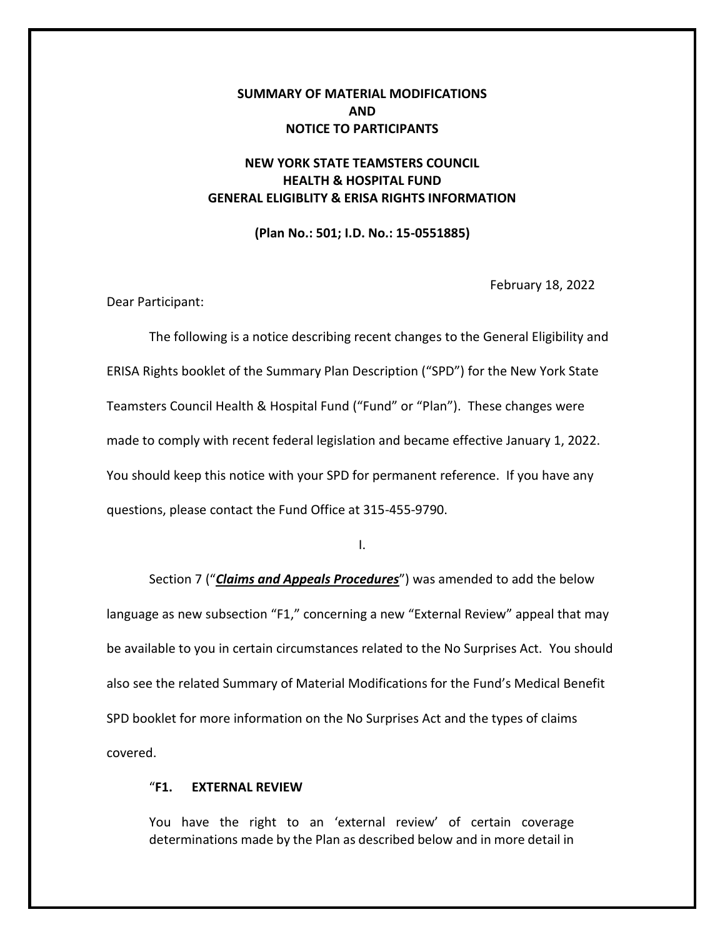## **SUMMARY OF MATERIAL MODIFICATIONS AND NOTICE TO PARTICIPANTS**

# **NEW YORK STATE TEAMSTERS COUNCIL HEALTH & HOSPITAL FUND GENERAL ELIGIBLITY & ERISA RIGHTS INFORMATION**

**(Plan No.: 501; I.D. No.: 15-0551885)**

February 18, 2022

Dear Participant:

The following is a notice describing recent changes to the General Eligibility and ERISA Rights booklet of the Summary Plan Description ("SPD") for the New York State Teamsters Council Health & Hospital Fund ("Fund" or "Plan"). These changes were made to comply with recent federal legislation and became effective January 1, 2022. You should keep this notice with your SPD for permanent reference. If you have any questions, please contact the Fund Office at 315-455-9790.

I.

Section 7 ("*Claims and Appeals Procedures*") was amended to add the below language as new subsection "F1," concerning a new "External Review" appeal that may be available to you in certain circumstances related to the No Surprises Act. You should also see the related Summary of Material Modifications for the Fund's Medical Benefit SPD booklet for more information on the No Surprises Act and the types of claims covered.

### "**F1. EXTERNAL REVIEW**

You have the right to an 'external review' of certain coverage determinations made by the Plan as described below and in more detail in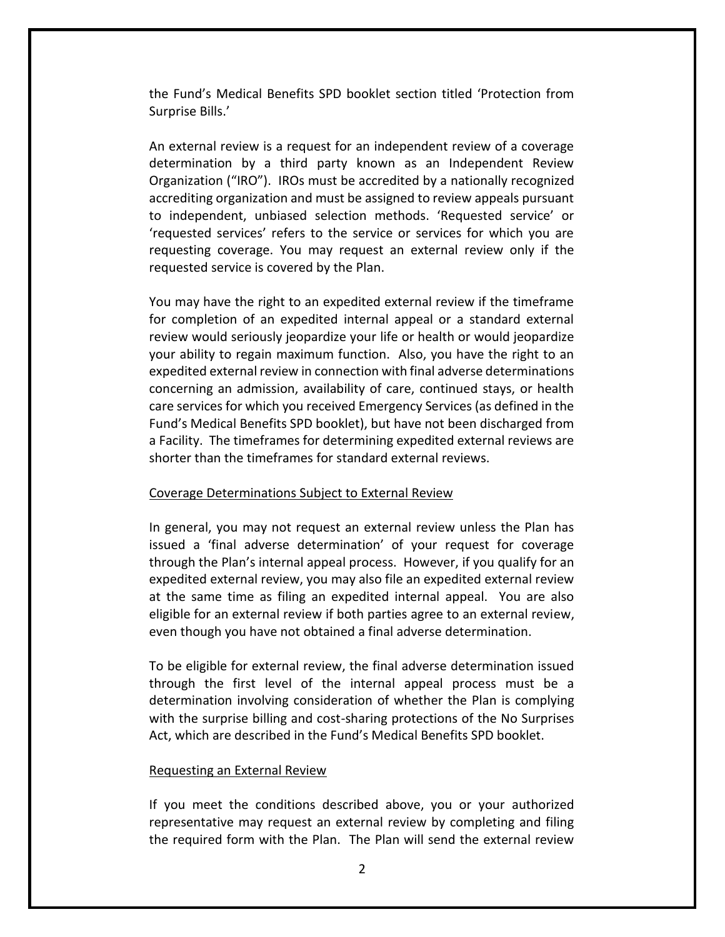the Fund's Medical Benefits SPD booklet section titled 'Protection from Surprise Bills.'

An external review is a request for an independent review of a coverage determination by a third party known as an Independent Review Organization ("IRO"). IROs must be accredited by a nationally recognized accrediting organization and must be assigned to review appeals pursuant to independent, unbiased selection methods. 'Requested service' or 'requested services' refers to the service or services for which you are requesting coverage. You may request an external review only if the requested service is covered by the Plan.

You may have the right to an expedited external review if the timeframe for completion of an expedited internal appeal or a standard external review would seriously jeopardize your life or health or would jeopardize your ability to regain maximum function. Also, you have the right to an expedited external review in connection with final adverse determinations concerning an admission, availability of care, continued stays, or health care services for which you received Emergency Services (as defined in the Fund's Medical Benefits SPD booklet), but have not been discharged from a Facility. The timeframes for determining expedited external reviews are shorter than the timeframes for standard external reviews.

#### Coverage Determinations Subject to External Review

In general, you may not request an external review unless the Plan has issued a 'final adverse determination' of your request for coverage through the Plan's internal appeal process. However, if you qualify for an expedited external review, you may also file an expedited external review at the same time as filing an expedited internal appeal. You are also eligible for an external review if both parties agree to an external review, even though you have not obtained a final adverse determination.

To be eligible for external review, the final adverse determination issued through the first level of the internal appeal process must be a determination involving consideration of whether the Plan is complying with the surprise billing and cost-sharing protections of the No Surprises Act, which are described in the Fund's Medical Benefits SPD booklet.

#### Requesting an External Review

If you meet the conditions described above, you or your authorized representative may request an external review by completing and filing the required form with the Plan. The Plan will send the external review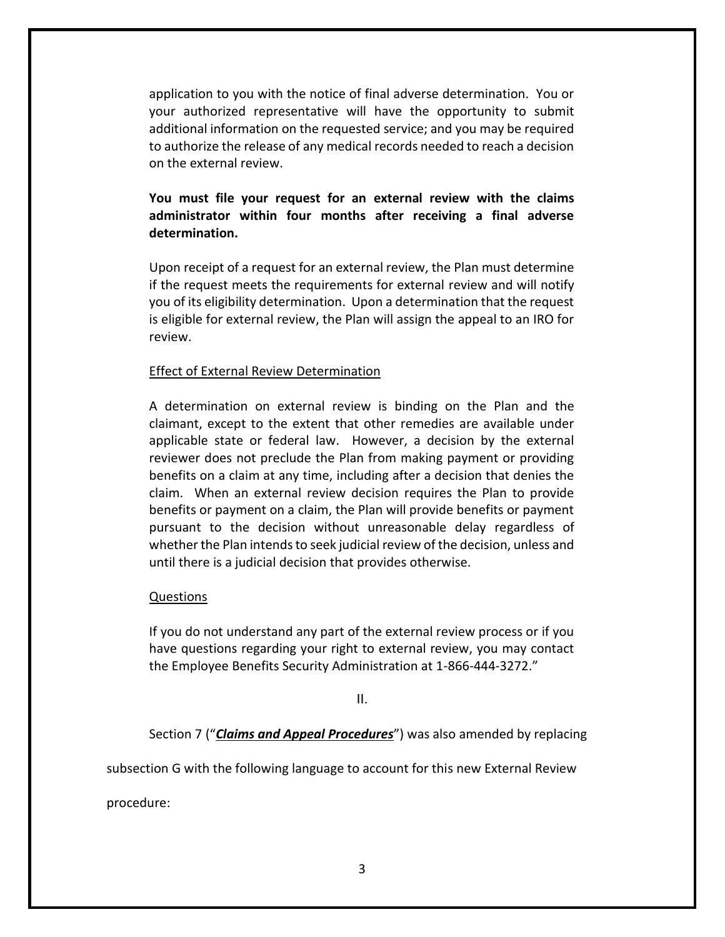application to you with the notice of final adverse determination. You or your authorized representative will have the opportunity to submit additional information on the requested service; and you may be required to authorize the release of any medical records needed to reach a decision on the external review.

# **You must file your request for an external review with the claims administrator within four months after receiving a final adverse determination.**

Upon receipt of a request for an external review, the Plan must determine if the request meets the requirements for external review and will notify you of its eligibility determination. Upon a determination that the request is eligible for external review, the Plan will assign the appeal to an IRO for review.

### Effect of External Review Determination

A determination on external review is binding on the Plan and the claimant, except to the extent that other remedies are available under applicable state or federal law. However, a decision by the external reviewer does not preclude the Plan from making payment or providing benefits on a claim at any time, including after a decision that denies the claim. When an external review decision requires the Plan to provide benefits or payment on a claim, the Plan will provide benefits or payment pursuant to the decision without unreasonable delay regardless of whether the Plan intends to seek judicial review of the decision, unless and until there is a judicial decision that provides otherwise.

### Questions

If you do not understand any part of the external review process or if you have questions regarding your right to external review, you may contact the Employee Benefits Security Administration at 1-866-444-3272."

II.

Section 7 ("*Claims and Appeal Procedures*") was also amended by replacing

subsection G with the following language to account for this new External Review

procedure: